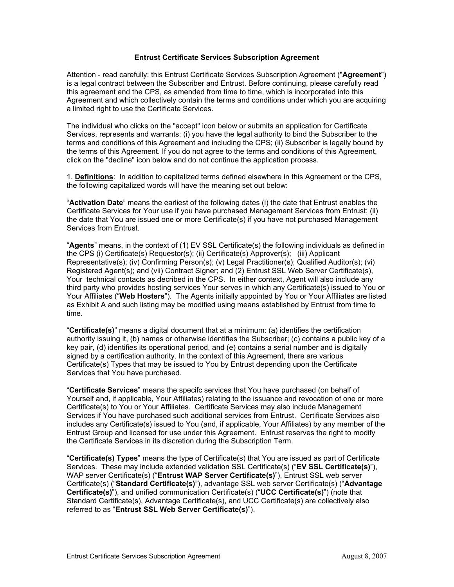### **Entrust Certificate Services Subscription Agreement**

Attention - read carefully: this Entrust Certificate Services Subscription Agreement ("Agreement") is a legal contract between the Subscriber and Entrust. Before continuing, please carefully read this agreement and the CPS, as amended from time to time, which is incorporated into this Agreement and which collectively contain the terms and conditions under which you are acquiring a limited right to use the Certificate Services.

The individual who clicks on the "accept" icon below or submits an application for Certificate Services, represents and warrants: (i) you have the legal authority to bind the Subscriber to the terms and conditions of this Agreement and including the CPS; (ii) Subscriber is legally bound by the terms of this Agreement. If you do not agree to the terms and conditions of this Agreement, click on the "decline" icon below and do not continue the application process.

1. **Definitions**: In addition to capitalized terms defined elsewhere in this Agreem ent or the CPS, the following capitalized words will have the meaning set out below:

"**Activation Date**" means the earliest of the following dates (i) the date that Entrust enables the Certificate Services for Your use if you have purchased Management Services from Entrust; (ii) the date that You are issued one or more Certificate(s) if you have not purchased Management Services from Entrust.

"**Agents**" means, in the context of (1) EV SSL Certificate(s) the following individuals as defined in t the CPS (i) Certificate(s) Requestor(s); (ii) Certificate(s) Approver(s); (iii) Applican Representative(s); (iv) Confirming Person(s); (v) Legal Practitioner(s); Qualified Auditor(s); (vi) Registered Agent(s); and (vii) Contract Signer; and (2) Entrust SSL Web Server Certificate(s), Your technical contacts as decribed in the CPS. In either context, Agent will also include any third party who provides hosting services Your serves in which any Certificate(s) issued to You or Your Affiliates ("Web Hosters"). The Agents initially appointed by You or Your Affiliates are listed as Exhibit A and such listing may be modified using means established by Entrust from time to time.

"**Certificate(s)**" means a digital document that at a minimum: (a) identifies the certification authority issuing it, (b) names or otherwise identifies the Subscriber; (c) contains a public key of a key pair, (d) identifies its operational period, and (e) contains a serial number and is digitally signed by a certification authority. In the context of this Agreement, there are various Certificate(s) Types that may be issued to You by Entrust depending upon the Certificate Services that You have purchased.

"Certificate Services" means the specifc services that You have purchased (on behalf of Yourself and, if applicable, Your Affiliates) relating to the issuance and revocation of one or more Certificate(s) to You or Your Affiliates. Certificate Services may also include Management Services if You have purchased such additional services from Entrust. Certificate Services also includes any Certificate(s) issued to You (and, if applicable, Your Affiliates) by any member of the Entrust Group and licensed for use under this Agreement. Entrust reserves the right to modify the Certificate Services in its discretion during the Subscription Term.

"**Certificate(s) Types**" means the type of Certificate(s) that You are issued as part of Certificate Services. These may include extended validation SSL Certificate(s) ("**EV SSL Certificate(s)**"), WAP server Certificate(s) ("**Entrust WAP Server Certificate(s)**"), Entrust SSL web server Certificate(s) ("**Standard Certificate(s)**"), advantage SSL web server Certificate(s) ("**Advantage Certificate(s)**"), and unified communication Certificate(s) ("**UCC Certificate(s)**") (note that Standard Certificate(s), Advantage Certificate(s), and UCC Certificate(s) are collectively also referred to as "**Entrust SSL Web Server Certificate(s)**").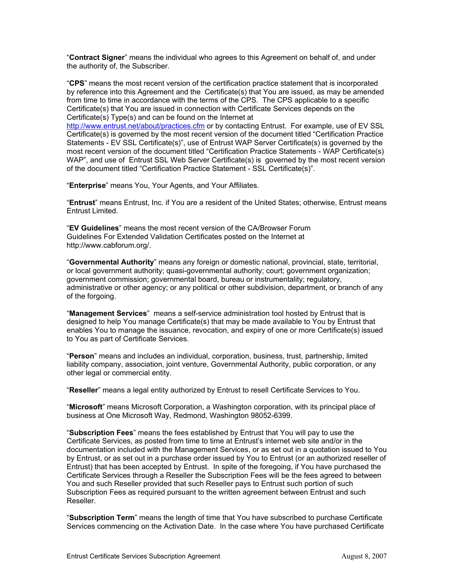"**Contract Signer**" means the individual who agrees to this Agreement on behalf of, and under the authority of, the Subscriber.

"CPS" means the most recent version of the certification practice statement that is incorporated by reference into this Agreement and the Certificate(s) that You are issued, as may be amended from time to time in accordance with the terms of the CPS. The CPS applicable to a specific [Certificate\(s\) that You are issued](http://www.entrust.net/about/practices.cfm) in connection with Certificate Services depends on the Certificate(s) Type(s) and can be found on the Internet at

http://www.entrust.net/about/practices.cfm or by contacting Entrust. For example, use of EV SSL Certificate(s) is governed by the most recent version of the document titled "Certifi cation Practice Statements - EV SSL Certificate(s)", use of Entrust WAP Server Ce rtificate(s) is governed by the most recent version of the document titled "Certification Practice Statements - WAP Certificate(s) WAP", and use of Entrust SSL Web Server Certificate(s) is governed by the most recent version of the document titled "Certification Practice Statement - SSL Certificate(s)".

"Enterprise" means You, Your Agents, and Your Affiliates.

"**Entrust**" means Entrust, Inc. if You are a resident of the United States; otherwise, Entrust means Entrust Limited.

"**EV Guidelines**" means the most recent version of the CA/Browser Forum Guidelines For Extended Validation Certificates posted on the Internet at http://www.cabforum.org/.

"**Governmental Authority**" means any foreign or domestic national, provincial, state, territorial, or local government authority; quasi-governmental authority; court; government organization; government commission; governmental board, bureau or instrumentality; regulatory, administrative or other agency; or any political or other subdivision, department, or branch of any of the forgoing.

"Management Services" means a self-service administration tool hosted by Entrust that is designed to help You manage Certificate(s) that may be made available to You by Entrust that enables You to manage the issuance, revocation, and expiry of one or more Certificate(s) issued to You as part of Certificate Services.

"Person" means and includes an individual, corporation, business, trust, partnership, limited liability company, association, joint venture, Governmental Authority, public corporation, or any other legal or commercial entity.

"Reseller" means a legal entity authorized by Entrust to resell Certificate Services to You.

"Microsoft" means Microsoft Corporation, a Washington corporation, with its principal place of business at One Microsoft Way, Redmond, Washington 98052-6399.

**cription Fees**" means the fees established by Entrust that You will pay to use the "**Subs** Certificate Services, as posted from time to time at Entrust's internet web site and/or in the documentation included with the Management Services, or as set out in a quotation issued to You by Entrust, or as set out in a purchase order issued by You to Entrust (or an authorized reseller of Entrust) that has been accepted by Entrust. In spite of the foregoing, if You have purchased the Certificate Services through a Reseller the Subscription Fees will be the fees agreed to between You and such Reseller provided that such Reseller pays to Entrust such portion of such Subscription Fees as required pursuant to the written agreement between Entrust and such Reseller.

"**Subscription Term**" means the length of time that You have subscribed to purchase Certificate Services commencing on the Activation Date. In the case where You have purchased Certificate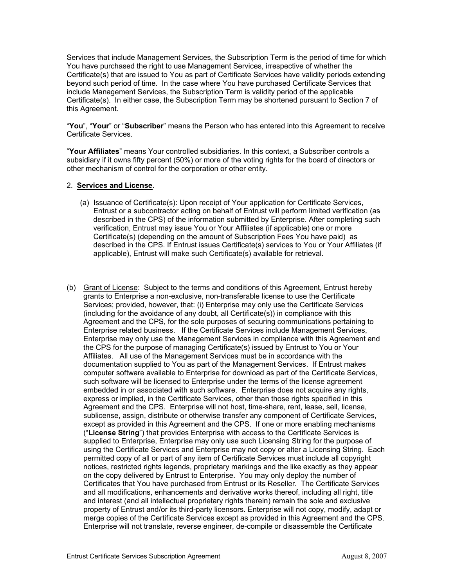Services that include Management Services, the Subscription Term is the period of time for which You have purchased the right to use Management Services, irrespective of wheth er the Certificate(s) that are issued to You as part of Certificate Services have validity periods extending beyond such period of time. In the case where You have purchased Certificate Services that include Mana gement Services, the Subscription Term is validity period of the applicable Certificate(s). In either case, the Subscription Term may be shortened pursuant to Section 7 of this Agreement.

"**You**", "Your" or "Subscriber" means the Person who has entered into this Agreement to receive Certificate Services.

"**Your Affiliates**" means Your controlled subsidiaries. In this context, a Subscriber controls a subsidiary if it owns fifty percent (50%) or more of the voting rights for the board of directors or other mechanism of control for the corporation or other entity.

## 2. **S ervices and License**.

- (a) Issuance of Certificate(s): Upon receipt of Your application for Certificate Services, Entrust or a subcontractor acting on behalf of Entrust will perform limited verification (as described in the CPS) of the information submitted by Ente rprise. After completing such verification, Entrust may issue You or Your Affiliates (if applicable) one or more Certificate(s) (depending on the amount of Subscription Fees You have paid) as described in the CPS. If Entrust issues Certificate(s) services to You or Your Affiliates (if applicable), Entrust will make such Certificate(s) available for retrieval.
- (b) Grant of License: Subject to the terms and conditions of this Agreement, Entrust hereby grants to Enterprise a non-exclusive, non-transferable license to use th e Certificate Services; provided, however, that: (i) Enterprise may only use the Certificate Services (including for the avoidance of any doubt, all Certificate(s)) in complianc e with this Agreement and the CPS, for the sole purposes of securing communication s pertaining to Enterprise related business. If the Certificate Services include Manageme nt Services, Enterprise may only use the Management Services in compliance with th is Agreement and the CPS for the purpose of managing Certificate(s) issued by Entrust to You or Your Affiliates. All use of the Management Services must be in accordance with the documentation supplied to You as part of the Management Services. If Entrust makes computer software available to Enterprise for download as part of the Certificate Services, such software will be licensed to Enterprise under the terms of the license agreement embedded in or associated with such software. Enterprise does not acquire any rights, express or implied, in the Certificate Services, other than those rights spec ified in this Agreement and the CPS. Enterprise will not host, time-share, rent, le ase, sell, license, sublicense, assign, distribute or otherwise transfer any component of Certifi cate Services, except as provided in this Agreement and the CPS. If one or more enabli ng mechanisms ("**License String**") that provides Enterprise with access to the Certificate Services is supplied to Enterprise, Enterprise may only use such Licensing String for the purpose of using the Certificate Services and Enterprise may not copy or alter a Licensin g String. Each permitted copy of all or part of any item of Certificate Services must include all copyright notices, restricted rights legends, proprietary markings and the like exactly as they appear on the copy delivered by Entrust to Enterprise. You may only deploy the number of Certificates that You have purchased from Entrust or its Reseller. The Certificate Services and all modifications, enhancements and derivative works thereof, including all right, title and interest (and all intellectual proprietary rights therein) remain the sole and exclusive property of Entrust and/or its third-party licensors. Enterprise will not copy, modify, adapt or merge copies of the Certificate Services except as provided in this Agreement and the CPS. Enterprise will not translate, reverse engineer, de-compile or disassemble the Certificate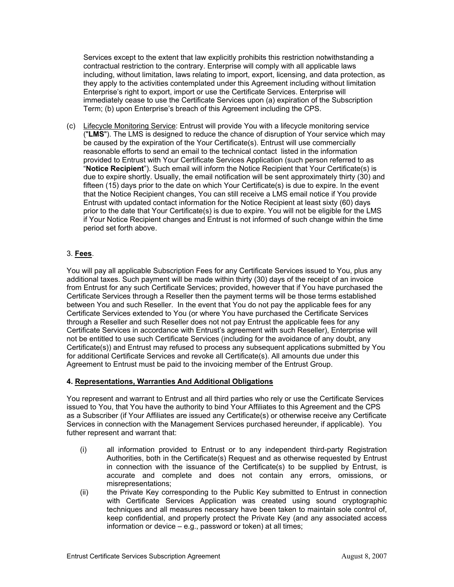Services except to the extent that law explicitly prohibits this restrictio n notwithstanding a contractual restriction to the contrary. Enterprise will comply with all applicabl e laws including, without limitation, laws relating to import, export, licensing, and d ata protection, as they apply to the activities contemplated under this Agreement including without limitation Enterprise's right to export, import or use the Certificate Servi ces. Enterprise will immediately cease to use the Certificate Services upon (a) expiration of the Subscription Term; (b) upon Enterprise's breach of this Agreement including the CPS.

( c) Lifecycle Monitoring Service: Entrust will provide You with a lifecycle m onitoring service ("**LMS**"). The LMS is designed to reduce the chance of disruption of Your service which may be caused by the expiration of the Your Certificate(s). Entrust will use com mercially reasonable efforts to send an email to the technical contact listed in the infor mation provided to Entrust with Your Certificate Services Application (such person referred to as "**Notice Recipient**"). Such email will inform the Notice Recipient that Your Certificate(s) is due to expire shortly. Usually, the email notification will be sent approximate ly thirty (30) and fifteen (15) days prior to the date on which Your Certificate(s) is due to expire . In the event that the Notice R ecipient changes, You can still receive a LMS email notice if You provide Entrust with updated contact information for the Notice Recipient at least sixty (60) days prior to the date that Your Certificate(s) is due to expire. You will not be eligible for the LMS if Your Notice Recipient changes and Entrust is not informed of such change within the time period set forth above.

# 3. **Fees**.

You will pay all applicable Subscription Fees for any Certificate Services issued to You, plus any additional taxes. Such payment will be made within thirty (30) days of the re ceipt of an invoice from Entrust for any such Certificate Services; provided, however that if You hav e purchased the Certificate Services through a Reseller then the payment terms will be those terms esta blished between You and such Reseller. In the event that You do not pay the appli cable fees for any Certificate Services extended to You (or where You have purchased the Certificate Services through a Reseller and such Reseller does not not pay Entrust the applicable fees for any Certificate Services in accordance with Entrust's agreement with such Reseller), Enterprise will Certificate(s)) and Entrust may refused to process any subsequent applications submitted by You for additional Certificate Services and revoke all Certificate(s). All amounts due under this not be entitled to use such Certificate Services (including for the avoidance of any doubt, any Agreement to Entrust must be paid to the invoicing member of the Entrust Group.

# **4. Representations, Warranties And Additional Obligations**

You represent and warrant to Entrust and all third parties who rely or use the Certificate Services issued to You, that You have the authority to bind Your Affiliates to this Agreement and the CPS as a Subscriber (if Your Affiliates are issued any Certificate(s) or otherwise receive any Certificate Services in connection with the Management Services purchased hereunder, if applicable). You futher r epresent and warrant that:

- (i) all information provided to Entrust or to any independent third-party Registration Authorities, both in the Certificate(s) Request and as otherwise requested by Entrust in connection with the issuance of the Certificate(s) to be supplied by Entrust, is accurate and complete and does not contain any errors, omissions, or misrepresentations;
- (ii) the Private Key corresponding to the Public Key submitted to Entrust in connection with Certificate Services Application was created using sound cryptographic techniques and all measures necessary have been taken to maintain sole control of, keep confidential, and properly protect the Private Key (and any associated access information or device – e.g., password or token) at all times;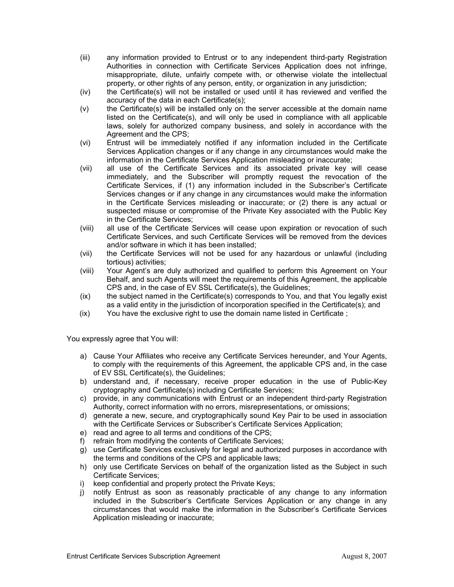- (iii) any information provided to Entrust or to any independent third-party Registration Authorities in connection with Certificate Services Application does not infringe, misappropriate, dilute, unfairly compete with, or otherwise violate the intellectual property, or other rights of any person, entity, or organization in any jurisdiction;
- (iv) the Certificate(s) will not be installed or used until it has reviewed and verified the accuracy of the data in each Certificate(s);
- $(v)$  the Certificate(s) will be installed only on the server accessible at the domain name listed on the Certificate(s), and will only be used in compliance with all applicable laws, solely for authorized company business, and solely in accordance with the Agreement and the CPS;
- (vi) Entrust will be immediately notified if any information included in the Certificate Services Application changes or if any change in any circumstances would make the information in the Certificate Services Application misleading or inaccurate;
- (vii) all use of the Certificate Services and its associated private key will cease immediately, and the Subscriber will promptly request the revocation of the Certificate Services, if (1) any information included in the Subscriber's Certificate Services changes or if any change in any circumstances would make the information in the Certificate Services misleading or inaccurate; or (2) there is any actual or suspected misuse or compromise of the Private Key associated with the Public Key in the Certificate Services;
- (viii) all use of the Certificate Services will cease upon expiration or revocation of such Certificate Services, and such Certificate Services will be removed from the devices and/or software in which it has been installed;
- (vii) the Certificate Services will not be used for any hazardous or unlawful (including tortious) activities;
- (viii) Your Agent's are duly authorized and qualified to perform this Agreement on Your Behalf, and such Agents will meet the requirements of this Agreement, the applicable CPS and, in the case of EV SSL Certificate(s), the Guidelines;
- (ix) the subject named in the Certificate(s) corresponds to You, and that You legally exist as a valid entity in the jurisdiction of incorporation specified in the Certificate(s); and
- $(ix)$  You have the exclusive right to use the domain name listed in Certificate;

You expressly agree that You will:

- a) Cause Your Affiliates who receive any Certificate Services hereunder, and Your Agents, to comply with the requirements of this Agreement, the applicable CPS and, in the case of EV SSL Certificate(s), the Guidelines;
- b) understand and, if necessary, receive proper education in the use of Public-Key cryptography and Certificate(s) including Certificate Services;
- c) provide, in any communications with Entrust or an independent third-party Registration Authority, correct information with no errors, misrepresentations, or omissions;
- d) generate a new, secure, and cryptographically sound Key Pair to be used in association with the Certificate Services or Subscriber's Certificate Services Application;
- e) read and agree to all terms and conditions of the CPS;
- f) refrain from modifying the contents of Certificate Services;
- g) use Certificate Services exclusively for legal and authorized purposes in accordance with the terms and conditions of the CPS and applicable laws;
- h) only use Certificate Services on behalf of the organization listed as the Subject in such Certificate Services;
- i) keep confidential and properly protect the Private Keys;
- j) notify Entrust as soon as reasonably practicable of any change to any information included in the Subscriber's Certificate Services Application or any change in any circumstances that would make the information in the Subscriber's Certificate Services Application misleading or inaccurate;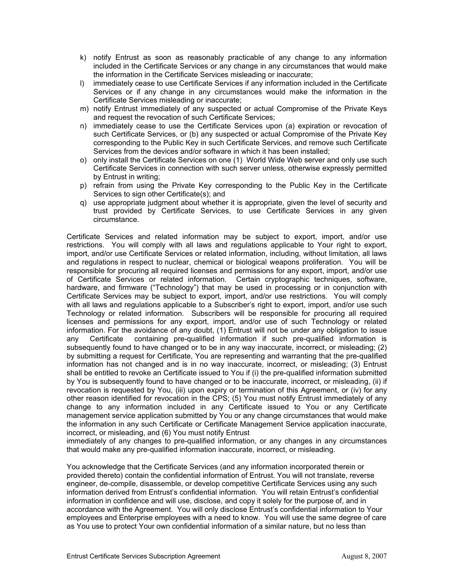- k) notify Entrust as soon as reasonably practicable of any change to a ny information included in the Certificate Services or any change in any circumstances that would make the information in the Certificate Services misleading or inaccurate;
- I) immediately cease to use Certificate Services if any information included in the Certificate Services or if any change in any circumstances would make the information in the Certificate Services misleading or inaccurate;
- m) notify Entrust immediately of any suspected or actual Compromise of the Private Keys and request the revocation of such Certificate Services;
- n) immediately cease to use the Certificate Services upon (a) expiration or revocation of such Certificate Services, or (b) any suspected or actual Compromise of the Private Key corresponding to the Public Key in such Certificate Services, and remove such Certificate Services from the devices and/or software in which it has been installed;
- o) only install the Certificate Services on one (1) World Wide Web server and only use such Certificate Services in connection with such server unless, otherwise expressly permitted by Entrust in writing;
- p) refrain from using the Private Key corresponding to the Public Key in the Certificate Services to sign other Certificate(s); and
- q) use appropriate judgment about whether it is appropriate, given the level of security and trust provided by Certificate Services, to use Certificate Services in any given circumstance.

Certificate Services and related information may be subject to export, import, and/or use restrictions. You will comply with all laws and regulations applicable to Your right to export, import, and/or use Certificate Services or related information, including, without limitation, all laws and regulations in respect to nuclear, chemical or biological weapons proliferation. You will be responsible for procuring all required licenses and permissions for any export, import, and/or use of Certificate Services or related information. Certain cryptographic techniques, software, hardware, and firmware ("Technology") that may be used in processing or in conjunction with Certificate Services may be subject to export, import, and/or use restrictions. You will comply with all laws and regulations applicable to a Subscriber's right to export, import, and/or use such Technology or related information. Subscribers will be responsible for procuring all required licenses and permissions for any export, import, and/or use of such Technology or related information. For the avoidance of any doubt, (1) Entrust will not be under any obligation to issue any Certificate containing pre-qualified information if such pre-qualified information is subsequently found to have changed or to be in any way inaccurate, incorrect, or misleading; (2) by submitting a request for Certificate, You are representing and warranting that the pre-qualified information has not changed and is in no way inaccurate, incorrect, or misleading; (3) Entrust shall be entitled to revoke an Certificate issued to You if (i) the pre-qualified information submitted by You is subsequently found to have changed or to be inaccurate, incorrect, or misleading, (ii) if revocation is requested by You, (iii) upon expiry or termination of this Agreement, or (iv) for any other reason identified for revocation in the CPS; (5) You must notify Entrust immediately of any change to any information included in any Certificate issued to You or any Certificate management service application submitted by You or any change circumstances that would make the information in any such Certificate or Certificate Management Service application inaccurate, incorrect, or misleading, and (6) You must notify Entrust

immediately of any changes to pre-qualified information, or any changes in any circumstances that would make any pre-qualified information inaccurate, incorrect, or misleading.

You acknowledge that the Certificate Services (and any information incorporated therein or provided thereto) contain the confidential information of Entrust. You will not translate, reverse engineer, de-compile, disassemble, or develop competitive Certificate Services using any such information derived from Entrust's confidential information. You will retain Entrust's confidential information in confidence and will use, disclose, and copy it solely for the purpose of, and in accordance with the Agreement. You will only disclose Entrust's confidential information to Your employees and Enterprise employees with a need to know. You will use the same degree of care as You use to protect Your own confidential information of a similar nature, but no less than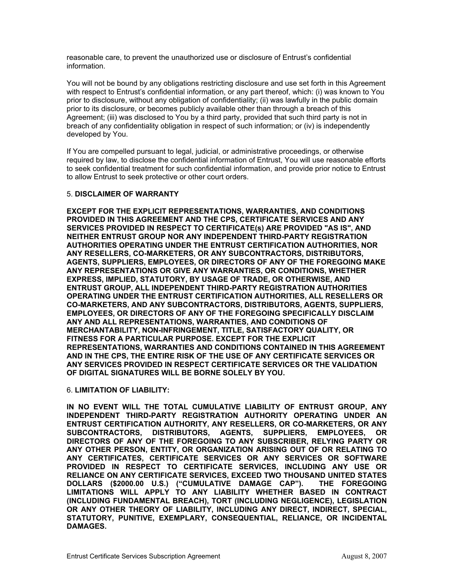reasonable care, to prevent the unauthorized use or disclosure of Entrust's confidential information.

You will not be bound by any obligations restricting disclosure and use set forth in this Agreement with respect to Entrust's confidential information, or any part thereof, which: (i) was known to You prior to disclosure, without any obligation of confidentiality; (ii) was lawfully in the public domain prior to its disclosure, or becomes publicly available other than through a breach of this Agreement; (iii) was disclosed to You by a third party, provided that such third party is not in breach of any confidentiality obligation in respect of such information; or (iv) is independently developed by You.

If You are compelled pursuant to legal, judicial, or administrative proceedings, or otherwise required by law, to disclose the confidential information of Entrust, You will use reasonable efforts to seek confidential treatment for such confidential information, and provide prior notice to Entrust to allow Entrust to seek protective or other court orders.

## 5. **DISCLAIMER OF WARRANTY**

**EXCEPT FOR THE EXPLICIT REPRESENTATIONS, WARRANTIES, AND CONDITIONS PROVIDED IN THIS AGREEMENT AND THE CPS, CERTIFICATE SERVICES AND ANY IS", AND SERVICES PROVIDED IN RESPECT TO CERTIFICATE(s) ARE PROVIDED "AS NEITHER ENTRUST GROUP NOR ANY INDEPENDENT THIRD-PARTY REGISTRATION HORITIES, NOR AUTHORITIES OPERATING UNDER THE ENTRUST CERTIFICATION AUT TORS, ANY RESELLERS, CO-MARKETERS, OR ANY SUBCONTRACTORS, DISTRIBU GOING MAKE AGENTS, SUPPLIERS, EMPLOYEES, OR DIRECTORS OF ANY OF THE FORE ANY REPRESENTATIONS OR GIVE ANY WARRANTIES, OR CONDITIONS, WHETHER WISE, AND EXPRESS, IMPLIED, STATUTORY, BY USAGE OF TRADE, OR OTHER ENTRUST GROUP, ALL INDEPENDENT THIRD-PARTY REGISTRATION AUTHORITIES SELLERS OR OPERATING UNDER THE ENTRUST CERTIFICATION AUTHORITIES, ALL RE TS, SUPPLIERS, CO-MARKETERS, AND ANY SUBCONTRACTORS, DISTRIBUTORS, AGEN EMPLOYEES, OR DIRECTORS OF ANY OF THE FOREGOING SPECIFICALLY DISCLAIM AND CONDITIONS OF ANY AND ALL REPRESENTATIONS, WARRANTIES,**  $MERCHANTABILITY, NON-INFRINGEMENT, TITLE, SATISFACTORY QUALITY, OR$ **ULAR PURPOSE. EXCEPT FOR THE EXPLICIT FITNESS FOR A PARTIC NT REPRESENTATIONS, WARRANTIES AND CONDITIONS CONTAINED IN THIS AGREEME VICES OR AND IN THE CPS, THE ENTIRE RISK OF THE USE OF ANY CERTIFICATE SER**  $\boldsymbol{\mathsf{ANY}}$  SERVICES PROVIDED IN RESPECT CERTIFICATE SERVICES OR THE VALIDATION **OF DIGITAL SIGNATURES WILL BE BORNE SOLELY BY YOU.**

### 6. **LIMITATION OF LIABILITY:**

**GROUP, ANY IN NO EVENT WILL THE TOTAL CUMULATIVE LIABILITY OF ENTRUST** INDEPENDENT THIRD-PARTY REGISTRATION AUTHORITY OPERATING UNDER AN **RS, OR ANY ENTRUST CERTIFICATION AUTHORITY, ANY RESELLERS, OR CO-MARKETE EMPLOYEES, OR** DIRECTORS OF ANY OF THE FOREGOING TO ANY SUBSCRIBER, RELYING PARTY OR **HER PERSON, ENTITY, OR ORGANIZATION ARISING OUT OF OR RELATING TO ANY OT ANY CERTIFICATES, CERTIFICATE SERVICES OR ANY SERVICES OR SOFTWARE PROVIDED IN RESPECT TO CERTIFICATE SERVICES, INCLUDING ANY USE OR RELIANCE ON ANY CERTIFICATE SERVICES, EXCEED TWO THOUSAND UNITED STATES DOLLARS (\$2000.00 U.S.) ("CUMULATIVE DAMAGE CAP"). THE FOREGOING LIMITATIONS WILL APPLY TO ANY LIABILITY WHETHER BASED IN CONTRACT (INCLUDING FUNDAMENTAL BREACH), TORT (INCLUDING NEGLIGENCE), LEGISLATION OR ANY OTHER THEORY OF LIABILITY, INCLUDING ANY DIRECT, INDIRECT, SPECIAL, STATUTORY, PUNITIVE, EXEMPLARY, CONSEQUENTIAL, RELIANCE, OR INCIDENTAL DAMAGES.**   $SUBCONTRACTORS, DISTRIBUTORS, AGENTS, SUPPLIERS,$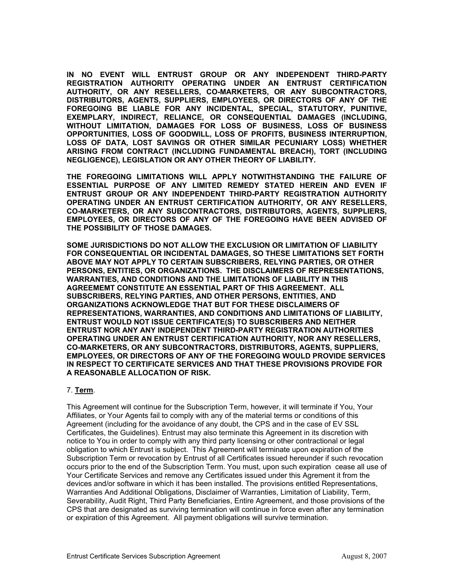IN NO EVENT WILL ENTRUST GROUP OR ANY INDEPENDENT THIRD-PARTY **REGISTRATION AUTHORITY OPERATING UNDER AN ENTRUST CERTIFICATION NTRACTORS, AUTHORITY, OR ANY RESELLERS, CO-MARKETERS, OR ANY SUBCO ANY OF THE DISTRIBUTORS, AGENTS, SUPPLIERS, EMPLOYEES, OR DIRECTORS OF Y, PUNITIVE, FOREGOING BE LIABLE FOR ANY INCIDENTAL, SPECIAL, STATUTOR (INCLUDING, EXEMPLARY, INDIRECT, RELIANCE, OR CONSEQUENTIAL DAMAGES F BUSINESS WITHOUT LIMITATION, DAMAGES FOR LOSS OF BUSINESS, LOSS O** OPPORTUNITIES, LOSS OF GOODWILL, LOSS OF PROFITS, BUSINESS INTERRUPTION, **LOSS OF DATA, LOST SAVINGS OR OTHER SIMILAR PECUNIARY LOSS) WHETHER (INCLUDING ARISING FROM CONTRACT (INCLUDING FUNDAMENTAL BREACH), TORT NEGLIGENCE), LEGISLATION OR ANY OTHER THEORY OF LIABILITY.** 

**FAILURE OF THE FOREGOING LIMITATIONS WILL APPLY NOTWITHSTANDING THE ESSENTIAL PURPOSE OF ANY LIMITED REMEDY STATED HEREIN AND EVEN IF ENTRUST GROUP OR ANY INDEPENDENT THIRD-PARTY REGISTRATION AUTHORITY OPERATING UNDER AN ENTRUST CERTIFICATION AUTHORITY, OR ANY RESELLERS, TS, SUPPLIERS, CO-MARKETERS, OR ANY SUBCONTRACTORS, DISTRIBUTORS, AGEN EMPLOYEES, OR DIRECTORS OF ANY OF THE FOREGOING HAVE BEEN ADVISED OF THE POSSIBILITY OF THOSE DAMAGES.** 

**TATION OF LIABILITY SOME JURISDICTIONS DO NOT ALLOW THE EXCLUSION OR LIMI LIMITATIONS SET FORTH FOR CONSEQUENTIAL OR INCIDENTAL DAMAGES, SO THESE** ABOVE MAY NOT APPLY TO CERTAIN SUBSCRIBERS, RELYING PARTIES, OR OTHER **SENTATIONS, PERSONS, ENTITIES, OR ORGANIZATIONS. THE DISCLAIMERS OF REPRE N THIS WARRANTIES, AND CONDITIONS AND THE LIMITATIONS OF LIABILITY I LL AGREEMEMT CONSTITUTE AN ESSENTIAL PART OF THIS AGREEMENT. A D SUBSCRIBERS, RELYING PARTIES, AND OTHER PERSONS, ENTITIES, AN F ORGANIZATIONS ACKNOWLEDGE THAT BUT FOR THESE DISCLAIMERS O OF LIABILITY, REPRESENTATIONS, WARRANTIES, AND CONDITIONS AND LIMITATIONS RTIFICATE(S) TO SUBSCRIBERS AND NEITHER ENTRUST WOULD NOT ISSUE CE UST NOR ANY ANY INDEPENDENT THIRD-PARTY REGISTRATION AUTHORITIES ENTR ATING UNDER AN ENTRUST CERTIFICATION AUTHORITY, NOR ANY RESELLERS, OPER S, SUPPLIERS, CO-MARKETERS, OR ANY SUBCONTRACTORS, DISTRIBUTORS, AGENT EMPLOYEES, OR DIRECTORS OF ANY OF THE FOREGOING WOULD PROVIDE SERVICES** IN RESPECT TO CERTIFICATE SERVICES AND THAT THESE PROVISIONS PROVIDE FOR **A REASONABLE ALLOCATION OF RISK.** 

# 7. **Term**.

This Agreement will continue for the Subscription Term, however, it will termin ate if You, Your Affiliates, or Your Agents fail to comply with any of the material terms or conditions of this Agreement (including for the avoidance of any doubt, the CPS and in the case of EV SSL Certificates, the Guidelines). Entrust may also terminate this Agreement in its discretion with notice to You in order to comply with any third party licensing or other contractiona l or legal obligation to which Entrust is subject. This Agreement will terminat e upon expiration of the Subscription Term or revocation by Entrust of all Certificates issued hereunder if such revocation occurs prior to the end of the Subscription Term. You must, upon such expiration cease all use of Your Certificate Services and remove any Certificates issued under this Agrement it from the devices and/or software in which it has been installed. The provisions entitled Representations, Warranties And Additional Obligations, Disclaimer of Warranties, Limitation of Liability, Term, Severability, Audit Right, Third Party Beneficiaries, Entire Agreement, and those provisions of the CPS that are designated as surviving termination will continue in force even after any termination or expiration of this Agreement. All payment obligations will survive termination.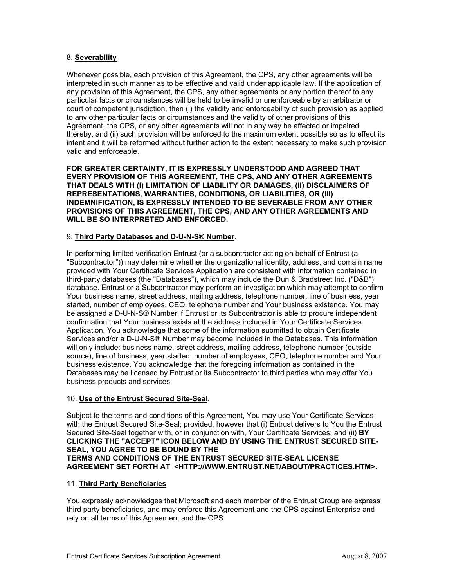### 8. **Severability**

Whenever possible, each provision of this Agreement, the CPS, any other agreements will be interpreted in such manner as to be effective and valid under applicable law. If the application of any provision of this Agreement, the CPS, any other agreements or any portion thereof to any particular facts or circumstances will be held to be invalid or unenforceable by an arbitrator or court of competent jurisdiction, then (i) the validity and enforceability of such provision as applied to any other particular facts or circumstances and the validity of other provisions of this Agreement, the CPS, or any other agreements will not in any way be affected or impaired thereby, and (ii) such provision will be enforced to the maximum extent possible so as to effect its intent and it will be reformed without further action to the extent necessary to make such provision valid and enforceable.

**FOR GREATER CERTAINTY, IT IS EXPRESSLY UNDERSTOOD AND AGREED THAT** EVERY PROVISION OF THIS AGREEMENT, THE CPS, AND ANY OTHER AGREEMENTS **LAIMERS OF THAT DEALS WITH (I) LIMITATION OF LIABILITY OR DAMAGES, (II) DISC REPRESENTATIONS, WARRANTIES, CONDITIONS, OR LIABILITIES, OR (III)**  INDEMNIFICATION, IS EXPRESSLY INTENDED TO BE SEVERABLE FROM ANY OTHER **PROVISIONS OF THIS AGREEMENT, THE CPS, AND ANY OTHER AGREEMENTS AND WILL BE SO INTERPRETED AND ENFORCED.** 

## 9. **Third Party Databases and D-U-N-S® Number**.

In performing limited verification Entrust (or a subcontractor acting on behalf of E ntrust (a "Subcontractor")) may determine whether the organizational identity, address, and dom ain name provided with Your Certificate Services Application are consistent with informati on contained in third-party databases (the "Databases"), which may include the Dun & Brad street Inc. ("D&B") database. Entrust or a Subcontractor may perform an investigation which may a ttempt to confirm Your business name, street address, mailing address, telephone number, line of business, year started, number of employees, CEO, telephone number and Your business existe nce. You may be assigned a D-U-N-S® Number if Entrust or its Subcontractor is able to procure independent confirmation that Your business exists at the address included in Your Certifica te Services Application. You acknowle dge that some of the information submitted to obtain Certificate Services and/or a D-U-N-S® Number may become included in the Databases. This information will only include: business name, street address, mailing address, telephone number (outside source), line of business, year started, number of employees, CEO, telephone number and Your business existence. You acknowledge that the foregoing information as contained in the Databases may be licensed by Entrust or its Subcontractor to third parties who may offer You business products and services.

### 10. **Use of the Entrust Secured Site-Sea**l.

Subject to the terms and conditions of this Agreement, You may use Your Certificate Services with the Entrust Secured Site-Seal; provided, however that (i) Entrust delivers to You the Entrust Secured Site-Seal together with, or in conjunction with, Your Certificate Services; and (ii) **BY ECURED SITE-CLICKING THE "ACCEPT" ICON BELOW AND BY USING THE ENTRUST S SEAL, YOU AGREE TO BE BOUND BY THE TERMS AND CONDITIONS OF THE ENTRUST SECURED SITE-SEAL LICENSE AGREEMENT SET FORTH AT <HTTP://WWW.ENTRUST.NET/ABOUT/PRACTICES.HTM>.**

### 11. **Third Party Beneficiaries**

You expressly acknowledges that Microsoft and each member of the Entrust Group are express third party beneficiaries, and may enforce this Agreement and the CPS against Enterprise and rely on all terms of this Agreement and the CPS